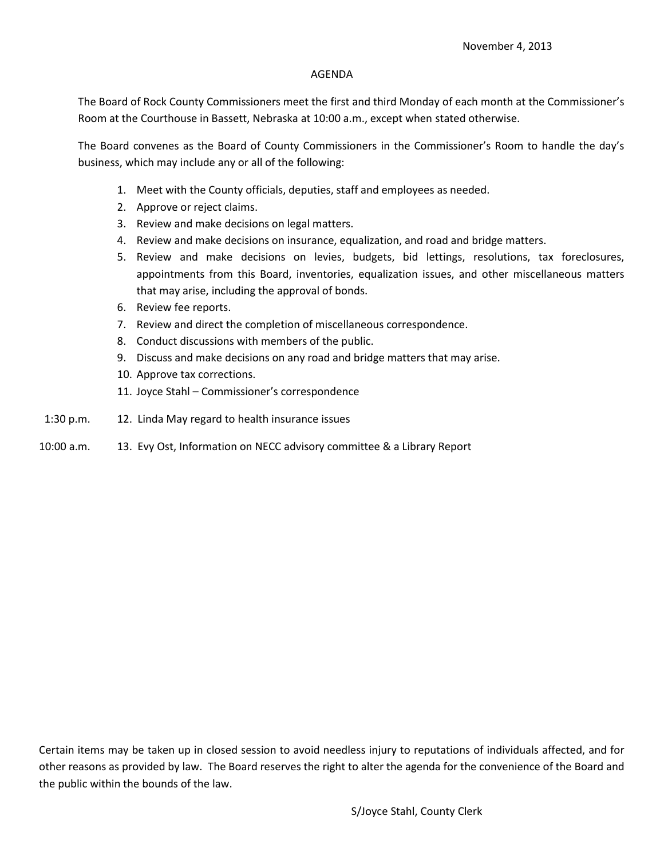## AGENDA

The Board of Rock County Commissioners meet the first and third Monday of each month at the Commissioner's Room at the Courthouse in Bassett, Nebraska at 10:00 a.m., except when stated otherwise.

The Board convenes as the Board of County Commissioners in the Commissioner's Room to handle the day's business, which may include any or all of the following:

- 1. Meet with the County officials, deputies, staff and employees as needed.
- 2. Approve or reject claims.
- 3. Review and make decisions on legal matters.
- 4. Review and make decisions on insurance, equalization, and road and bridge matters.
- 5. Review and make decisions on levies, budgets, bid lettings, resolutions, tax foreclosures, appointments from this Board, inventories, equalization issues, and other miscellaneous matters that may arise, including the approval of bonds.
- 6. Review fee reports.
- 7. Review and direct the completion of miscellaneous correspondence.
- 8. Conduct discussions with members of the public.
- 9. Discuss and make decisions on any road and bridge matters that may arise.
- 10. Approve tax corrections.
- 11. Joyce Stahl Commissioner's correspondence
- 1:30 p.m. 12. Linda May regard to health insurance issues
- 10:00 a.m. 13. Evy Ost, Information on NECC advisory committee & a Library Report

Certain items may be taken up in closed session to avoid needless injury to reputations of individuals affected, and for other reasons as provided by law. The Board reserves the right to alter the agenda for the convenience of the Board and the public within the bounds of the law.